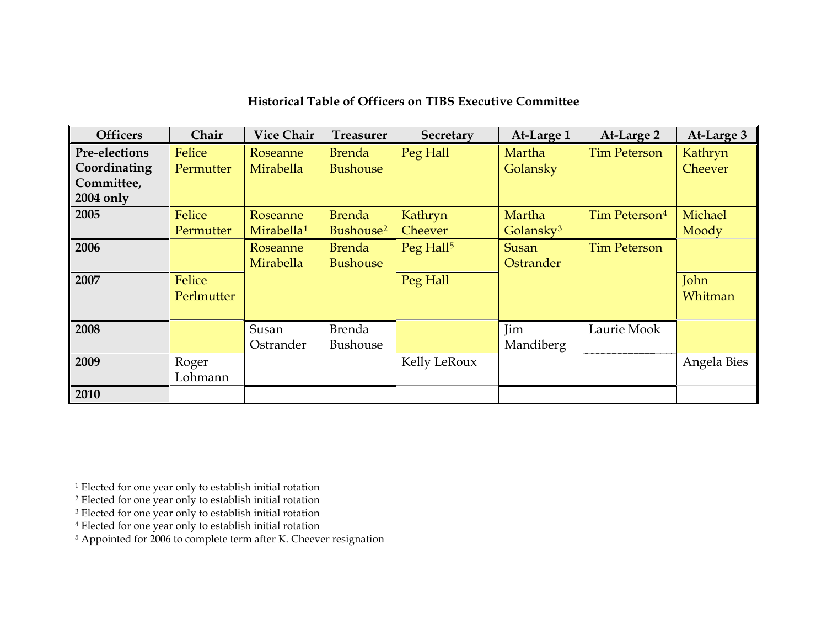| <b>Officers</b> | Chair      | <b>Vice Chair</b>      | <b>Treasurer</b>      | <b>Secretary</b>      | At-Large 1            | At-Large 2                | At-Large 3  |
|-----------------|------------|------------------------|-----------------------|-----------------------|-----------------------|---------------------------|-------------|
| Pre-elections   | Felice     | Roseanne               | <b>Brenda</b>         | Peg Hall              | Martha                | <b>Tim Peterson</b>       | Kathryn     |
| Coordinating    | Permutter  | Mirabella              | <b>Bushouse</b>       |                       | Golansky              |                           | Cheever     |
| Committee,      |            |                        |                       |                       |                       |                           |             |
| 2004 only       |            |                        |                       |                       |                       |                           |             |
| 2005            | Felice     | Roseanne               | <b>Brenda</b>         | Kathryn               | Martha                | Tim Peterson <sup>4</sup> | Michael     |
|                 | Permutter  | Mirabella <sup>1</sup> | Bushouse <sup>2</sup> | Cheever               | Golansky <sup>3</sup> |                           | Moody       |
| 2006            |            | Roseanne               | <b>Brenda</b>         | Peg Hall <sup>5</sup> | Susan                 | <b>Tim Peterson</b>       |             |
|                 |            | Mirabella              | <b>Bushouse</b>       |                       | Ostrander             |                           |             |
| 2007            | Felice     |                        |                       | Peg Hall              |                       |                           | John        |
|                 | Perlmutter |                        |                       |                       |                       |                           | Whitman     |
|                 |            |                        |                       |                       |                       |                           |             |
| 2008            |            | Susan                  | Brenda                |                       | Jim                   | Laurie Mook               |             |
|                 |            | Ostrander              | Bushouse              |                       | Mandiberg             |                           |             |
| 2009            | Roger      |                        |                       | Kelly LeRoux          |                       |                           | Angela Bies |
|                 | Lohmann    |                        |                       |                       |                       |                           |             |
| 2010            |            |                        |                       |                       |                       |                           |             |

## **Historical Table of Officers on TIBS Executive Committee**

<span id="page-0-0"></span><sup>1</sup> Elected for one year only to establish initial rotation

<span id="page-0-1"></span><sup>&</sup>lt;sup>2</sup> Elected for one year only to establish initial rotation

<span id="page-0-2"></span><sup>&</sup>lt;sup>3</sup> Elected for one year only to establish initial rotation

<span id="page-0-3"></span><sup>4</sup> Elected for one year only to establish initial rotation

<span id="page-0-4"></span><sup>5</sup> Appointed for 2006 to complete term after K. Cheever resignation